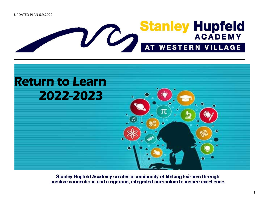



Stanley Hupfeld Academy creates a community of lifelong learners through positive connections and a rigorous, integrated curriculum to inspire excellence.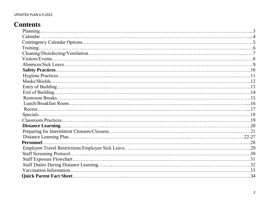## **Contents**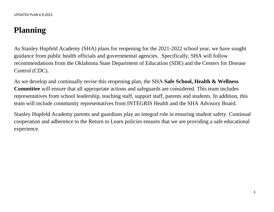# **Planning**

As Stanley Hupfeld Academy (SHA) plans for reopening for the 2021-2022 school year, we have sought guidance from public health officials and governmental agencies. Specifically, SHA will follow recommendations from the Oklahoma State Department of Education (SDE) and the Centers for Disease Control (CDC).

As we develop and continually revise this reopening plan, the SHA **Safe School, Health & Wellness Committee** will ensure that all appropriate actions and safeguards are considered. This team includes representatives from school leadership, teaching staff, support staff, parents and students. In addition, this team will include community representatives from INTEGRIS Health and the SHA Advisory Board.

Stanley Hupfeld Academy parents and guardians play an integral role in ensuring student safety. Continual cooperation and adherence to the Return to Learn policies ensures that we are providing a safe educational experience.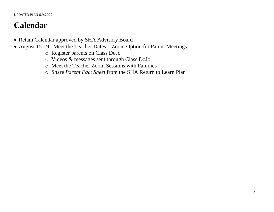# **Calendar**

- Retain Calendar approved by SHA Advisory Board
- August 15-19: Meet the Teacher Dates Zoom Option for Parent Meetings
	- o Register parents on Class DoJo
	- o Videos & messages sent through Class DoJo
	- o Meet the Teacher Zoom Sessions with Families
	- o Share *Parent Fact Sheet* from the SHA Return to Learn Plan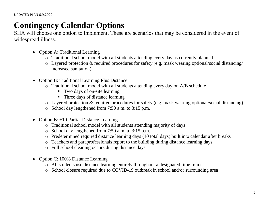## **Contingency Calendar Options**

SHA will choose one option to implement. These are scenarios that may be considered in the event of widespread illness.

- Option A: Traditional Learning
	- o Traditional school model with all students attending every day as currently planned
	- o Layered protection & required procedures for safety (e.g. mask wearing optional/social distancing/ increased sanitation).
- Option B: Traditional Learning Plus Distance
	- o Traditional school model with all students attending every day on A/B schedule
		- Two days of on-site learning
		- Three days of distance learning
	- o Layered protection & required procedures for safety (e.g. mask wearing optional/social distancing).
	- o School day lengthened from 7:50 a.m. to 3:15 p.m.
- Option B:  $+10$  Partial Distance Learning
	- o Traditional school model with all students attending majority of days
	- o School day lengthened from 7:50 a.m. to 3:15 p.m.
	- o Predetermined required distance learning days (10 total days) built into calendar after breaks
	- o Teachers and paraprofessionals report to the building during distance learning days
	- o Full school cleaning occurs during distance days
- Option C: 100% Distance Learning
	- o All students use distance learning entirely throughout a designated time frame
	- o School closure required due to COVID-19 outbreak in school and/or surrounding area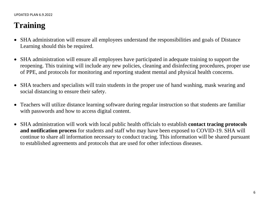# **Training**

- SHA administration will ensure all employees understand the responsibilities and goals of Distance Learning should this be required.
- SHA administration will ensure all employees have participated in adequate training to support the reopening. This training will include any new policies, cleaning and disinfecting procedures, proper use of PPE, and protocols for monitoring and reporting student mental and physical health concerns.
- SHA teachers and specialists will train students in the proper use of hand washing, mask wearing and social distancing to ensure their safety.
- Teachers will utilize distance learning software during regular instruction so that students are familiar with passwords and how to access digital content.
- SHA administration will work with local public health officials to establish **contact tracing protocols and notification process** for students and staff who may have been exposed to COVID-19. SHA will continue to share all information necessary to conduct tracing. This information will be shared pursuant to established agreements and protocols that are used for other infectious diseases.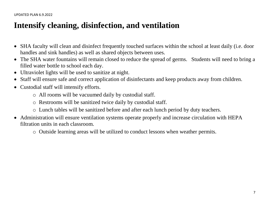## **Intensify cleaning, disinfection, and ventilation**

- SHA faculty will clean and disinfect frequently touched surfaces within the school at least daily (i.e. door handles and sink handles) as well as shared objects between uses.
- The SHA water fountains will remain closed to reduce the spread of germs. Students will need to bring a filled water bottle to school each day.
- Ultraviolet lights will be used to sanitize at night.
- Staff will ensure safe and correct application of disinfectants and keep products away from children.
- Custodial staff will intensify efforts.
	- o All rooms will be vacuumed daily by custodial staff.
	- o Restrooms will be sanitized twice daily by custodial staff.
	- o Lunch tables will be sanitized before and after each lunch period by duty teachers.
- Administration will ensure ventilation systems operate properly and increase circulation with HEPA filtration units in each classroom.
	- o Outside learning areas will be utilized to conduct lessons when weather permits.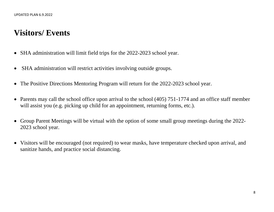## **Visitors/ Events**

- SHA administration will limit field trips for the 2022-2023 school year.
- SHA administration will restrict activities involving outside groups.
- The Positive Directions Mentoring Program will return for the 2022-2023 school year.
- Parents may call the school office upon arrival to the school (405) 751-1774 and an office staff member will assist you (e.g. picking up child for an appointment, returning forms, etc.).
- Group Parent Meetings will be virtual with the option of some small group meetings during the 2022-2023 school year.
- Visitors will be encouraged (not required) to wear masks, have temperature checked upon arrival, and sanitize hands, and practice social distancing.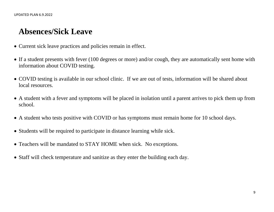## **Absences/Sick Leave**

- Current sick leave practices and policies remain in effect.
- If a student presents with fever (100 degrees or more) and/or cough, they are automatically sent home with information about COVID testing.
- COVID testing is available in our school clinic. If we are out of tests, information will be shared about local resources.
- A student with a fever and symptoms will be placed in isolation until a parent arrives to pick them up from school.
- A student who tests positive with COVID or has symptoms must remain home for 10 school days.
- Students will be required to participate in distance learning while sick.
- Teachers will be mandated to STAY HOME when sick. No exceptions.
- Staff will check temperature and sanitize as they enter the building each day.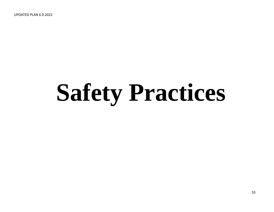UPDATED PLAN 6.9.2022

# **Safety Practices**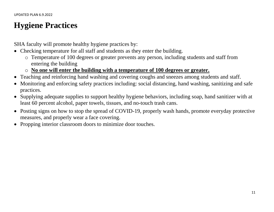## **Hygiene Practices**

SHA faculty will promote healthy hygiene practices by:

- Checking temperature for all staff and students as they enter the building.
	- o Temperature of 100 degrees or greater prevents any person, including students and staff from entering the building
	- o **No one will enter the building with a temperature of 100 degrees or greater.**
- Teaching and reinforcing hand washing and covering coughs and sneezes among students and staff.
- Monitoring and enforcing safety practices including: social distancing, hand washing, sanitizing and safe practices.
- Supplying adequate supplies to support healthy hygiene behaviors, including soap, hand sanitizer with at least 60 percent alcohol, paper towels, tissues, and no-touch trash cans.
- Posting signs on how to stop the spread of COVID-19, properly wash hands, promote everyday protective measures, and properly wear a face covering.
- Propping interior classroom doors to minimize door touches.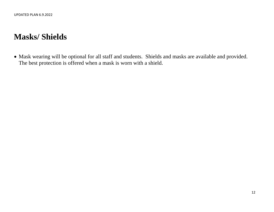## **Masks/ Shields**

 Mask wearing will be optional for all staff and students. Shields and masks are available and provided. The best protection is offered when a mask is worn with a shield.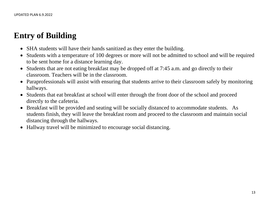## **Entry of Building**

- SHA students will have their hands sanitized as they enter the building.
- Students with a temperature of 100 degrees or more will not be admitted to school and will be required to be sent home for a distance learning day.
- Students that are not eating breakfast may be dropped off at 7:45 a.m. and go directly to their classroom. Teachers will be in the classroom.
- Paraprofessionals will assist with ensuring that students arrive to their classroom safely by monitoring hallways.
- Students that eat breakfast at school will enter through the front door of the school and proceed directly to the cafeteria.
- Breakfast will be provided and seating will be socially distanced to accommodate students. As students finish, they will leave the breakfast room and proceed to the classroom and maintain social distancing through the hallways.
- Hallway travel will be minimized to encourage social distancing.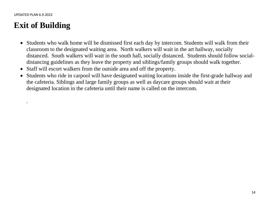.

## **Exit of Building**

- Students who walk home will be dismissed first each day by intercom. Students will walk from their classroom to the designated waiting area. North walkers will wait in the art hallway, socially distanced. South walkers will wait in the south hall, socially distanced. Students should follow socialdistancing guidelines as they leave the property and siblings/family groups should walk together.
- Staff will escort walkers from the outside area and off the property.
- Students who ride in carpool will have designated waiting locations inside the first-grade hallway and the cafeteria. Siblings and large family groups as well as daycare groups should wait at their designated location in the cafeteria until their name is called on the intercom.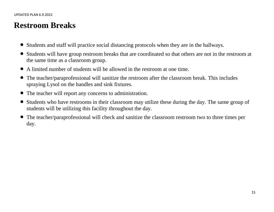## **Restroom Breaks**

- Students and staff will practice social distancing protocols when they are in the hallways.
- Students will have group restroom breaks that are coordinated so that others are not in the restroom at the same time as a classroom group.
- A limited number of students will be allowed in the restroom at one time.
- The teacher/paraprofessional will sanitize the restroom after the classroom break. This includes spraying Lysol on the handles and sink fixtures.
- The teacher will report any concerns to administration.
- Students who have restrooms in their classroom may utilize these during the day. The same group of students will be utilizing this facility throughout the day.
- The teacher/paraprofessional will check and sanitize the classroom restroom two to three times per day.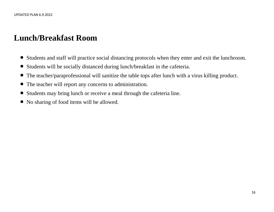## **Lunch/Breakfast Room**

- Students and staff will practice social distancing protocols when they enter and exit the lunchroom.
- Students will be socially distanced during lunch/breakfast in the cafeteria.
- The teacher/paraprofessional will sanitize the table tops after lunch with a virus killing product.
- The teacher will report any concerns to administration.
- Students may bring lunch or receive a meal through the cafeteria line.
- No sharing of food items will be allowed.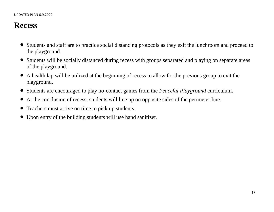## **Recess**

- Students and staff are to practice social distancing protocols as they exit the lunchroom and proceed to the playground.
- Students will be socially distanced during recess with groups separated and playing on separate areas of the playground.
- A health lap will be utilized at the beginning of recess to allow for the previous group to exit the playground.
- Students are encouraged to play no-contact games from the *Peaceful Playground* curriculum.
- At the conclusion of recess, students will line up on opposite sides of the perimeter line.
- Teachers must arrive on time to pick up students.
- Upon entry of the building students will use hand sanitizer.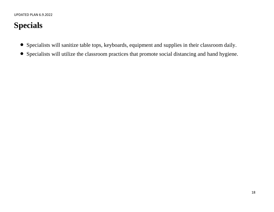# **Specials**

- Specialists will sanitize table tops, keyboards, equipment and supplies in their classroom daily.
- Specialists will utilize the classroom practices that promote social distancing and hand hygiene.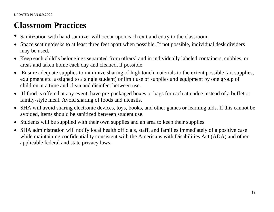## **Classroom Practices**

- Sanitization with hand sanitizer will occur upon each exit and entry to the classroom.
- Space seating/desks to at least three feet apart when possible. If not possible, individual desk dividers may be used.
- Keep each child's belongings separated from others' and in individually labeled containers, cubbies, or areas and taken home each day and cleaned, if possible.
- Ensure adequate supplies to minimize sharing of high touch materials to the extent possible (art supplies, equipment etc. assigned to a single student) or limit use of supplies and equipment by one group of children at a time and clean and disinfect between use.
- If food is offered at any event, have pre-packaged boxes or bags for each attendee instead of a buffet or family-style meal. Avoid sharing of foods and utensils.
- SHA will avoid sharing electronic devices, toys, books, and other games or learning aids. If this cannot be avoided, items should be sanitized between student use.
- Students will be supplied with their own supplies and an area to keep their supplies.
- SHA administration will notify local health officials, staff, and families immediately of a positive case while maintaining confidentiality consistent with the Americans with Disabilities Act (ADA) and other applicable federal and state privacy laws.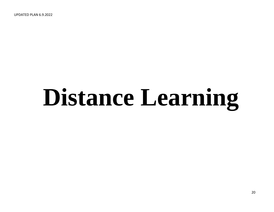UPDATED PLAN 6.9.2022

# **Distance Learning**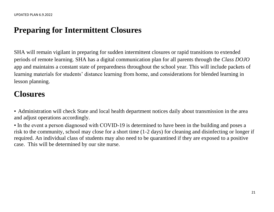## **Preparing for Intermittent Closures**

SHA will remain vigilant in preparing for sudden intermittent closures or rapid transitions to extended periods of remote learning. SHA has a digital communication plan for all parents through the *Class DOJO* app and maintains a constant state of preparedness throughout the school year. This will include packets of learning materials for students' distance learning from home, and considerations for blended learning in lesson planning.

# **Closures**

• Administration will check State and local health department notices daily about transmission in the area and adjust operations accordingly.

• In the event a person diagnosed with COVID-19 is determined to have been in the building and poses a risk to the community, school may close for a short time (1-2 days) for cleaning and disinfecting or longer if required. An individual class of students may also need to be quarantined if they are exposed to a positive case. This will be determined by our site nurse.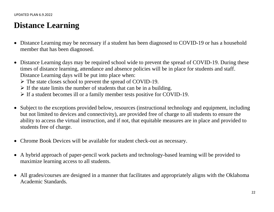## **Distance Learning**

- Distance Learning may be necessary if a student has been diagnosed to COVID-19 or has a household member that has been diagnosed.
- Distance Learning days may be required school wide to prevent the spread of COVID-19. During these times of distance learning, attendance and absence policies will be in place for students and staff. Distance Learning days will be put into place when:
	- The state closes school to prevent the spread of COVID-19.
	- $\triangleright$  If the state limits the number of students that can be in a building.
	- $\triangleright$  If a student becomes ill or a family member tests positive for COVID-19.
- Subject to the exceptions provided below, resources (instructional technology and equipment, including but not limited to devices and connectivity), are provided free of charge to all students to ensure the ability to access the virtual instruction, and if not, that equitable measures are in place and provided to students free of charge.
- Chrome Book Devices will be available for student check-out as necessary.
- A hybrid approach of paper-pencil work packets and technology-based learning will be provided to maximize learning access to all students.
- All grades/courses are designed in a manner that facilitates and appropriately aligns with the Oklahoma Academic Standards.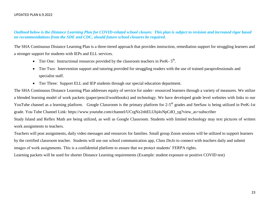#### *Outlined below is the Distance Learning Plan for COVID-related school closure. This plan is subject to revision and increased rigor based on recommendations from the SDE and CDC, should future school closures be required.*

The SHA Continuous Distance Learning Plan is a three-tiered approach that provides instruction, remediation support for struggling learners and a stronger support for students with IEPs and ELL services.

- Tier One: Instructional resources provided by the classroom teachers in PreK- $5<sup>th</sup>$ .
- Tier Two: Intervention support and tutoring provided for struggling readers with the use of trained paraprofessionals and specialist staff.
- Tier Three: Support ELL and IEP students through our special education department.

The SHA Continuous Distance Learning Plan addresses equity of service for under- resourced learners through a variety of measures. We utilize a blended learning model of work packets (paper/pencil/workbooks) and technology. We have developed grade level websites with links to our YouTube channel as a learning platform. Google Classroom is the primary platform for 2-5<sup>th</sup> grades and SeeSaw is being utilized in PreK-1st grade. You Tube Channel Link: https://www.youtube.com/channel/UCrgNz2nbELUhj4xNpCdO\_yg?view\_as=subscriber

Study Island and Reflex Math are being utilized, as well as Google Classroom. Students with limited technology may text pictures of written work assignments to teachers.

Teachers will post assignments, daily video messages and resources for families. Small group Zoom sessions will be utilized to support learners by the certified classroom teacher. Students will use our school communication app, *Class DoJo* to connect with teachers daily and submit images of work assignments. This is a confidential platform to ensure that we protect students' FERPA rights.

Learning packets will be used for shorter Distance Learning requirements (Example: student exposure or positive COVID test)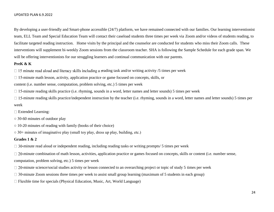#### UPDATED PLAN 6.9.2022

By developing a user-friendly and Smart-phone accessible (24/7) platform, we have remained connected with our families. Our learning interventionist team, ELL Team and Special Education Team will contact their caseload students three times per week via Zoom and/or videos of students reading, to facilitate targeted reading instruction. Home visits by the principal and the counselor are conducted for students who miss their Zoom calls. These interventions will supplement bi-weekly Zoom sessions from the classroom teacher. SHA is following the Sample Schedule for each grade span. We will be offering interventionists for our struggling learners and continual communication with our parents.

#### **PreK & K**

 $\Box$  15 minute read aloud and literacy skills including a reading task and/or writing activity /5 times per week

 $\Box$  15-minute math lesson, activity, application practice or game focused on concepts, skills, or

content (i.e. number sense, computation, problem solving, etc.) 5 times per week

 $\Box$  15-minute reading skills practice (i.e. rhyming, sounds in a word, letter names and letter sounds) 5 times per week

 $\Box$  15-minute reading skills practice/independent instruction by the teacher (i.e. rhyming, sounds in a word, letter names and letter sounds) 5 times per week

- Extended Learning:
- 30-60 minutes of outdoor play
- $\circ$  10-20 minutes of reading with family (books of their choice)
- 30+ minutes of imaginative play (small toy play, dress up play, building, etc.)

#### **Grades 1 & 2**

 $\Box$  30-minute read aloud or independent reading, including reading tasks or writing prompts/ 5 times per week

 $\Box$  20-minute combination of math lesson, activities, application practice or games focused on concepts, skills or content (i.e. number sense, computation, problem solving, etc.) 5 times per week

- $\Box$  20-minute science/social studies activity or lesson connected to an overarching project or topic of study 5 times per week
- $\Box$  30-minute Zoom sessions three times per week to assist small group learning (maximum of 5 students in each group)
- $\Box$  Flexible time for specials (Physical Education, Music, Art, World Language)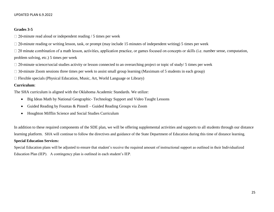#### UPDATED PLAN 6.9.2022

#### **Grades 3-5**

 $\Box$  20-minute read aloud or independent reading / 5 times per week

 $\Box$  20-minute reading or writing lesson, task, or prompt (may include 15 minutes of independent writing) 5 times per week

 $\Box$  20 minute combination of a math lesson, activities, application practice, or games focused on concepts or skills (i.e. number sense, computation, problem solving, etc.) 5 times per week

 $\Box$  20-minute science/social studies activity or lesson connected to an overarching project or topic of study/ 5 times per week

 $\Box$  30-minute Zoom sessions three times per week to assist small group learning (Maximum of 5 students in each group)

 $\Box$  Flexible specials (Physical Education, Music, Art, World Language or Library)

#### **Curriculum**:

The SHA curriculum is aligned with the Oklahoma Academic Standards. We utilize:

- Big Ideas Math by National Geographic- Technology Support and Video Taught Lessons
- Guided Reading by Fountas & Pinnell Guided Reading Groups via Zoom
- Houghton Mifflin Science and Social Studies Curriculum

In addition to these required components of the SDE plan, we will be offering supplemental activities and supports to all students through our distance learning platform. SHA will continue to follow the directives and guidance of the State Department of Education during this time of distance learning.

#### **Special Education Services:**

Special Education plans will be adjusted to ensure that student's receive the required amount of instructional support as outlined in their Individualized Education Plan (IEP). A contingency plan is outlined in each student's IEP.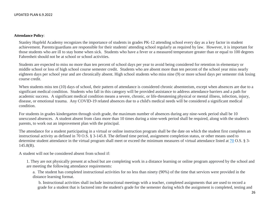#### **Attendance Policy**:

Stanley Hupfeld Academy recognizes the importance of students in grades PK-12 attending school every day as a key factor in student achievement. Parents/guardians are responsible for their students' attending school regularly as required by law. However, it is important for those students who are ill to stay home when sick. Students who have a fever or a measured temperature greater than or equal to 100 degrees Fahrenheit should not be at school or school activities.

Students are expected to miss no more than ten percent of school days per year to avoid being considered for retention in elementary or middle school or loss of high school course semester credit. Students who are absent more than ten percent of the school year miss nearly eighteen days per school year and are chronically absent. High school students who miss nine (9) or more school days per semester risk losing course credit.

When students miss ten (10) days of school, their pattern of attendance is considered chronic absenteeism, except when absences are due to a significant medical condition. Students who fall in this category will be provided assistance to address attendance barriers and a path for academic success. A significant medical condition means a severe, chronic, or life-threatening physical or mental illness, infection, injury, disease, or emotional trauma. Any COVID-19 related absences due to a child's medical needs will be considered a significant medical condition.

For students in grades kindergarten through sixth grade, the maximum number of absences during any nine-week period shall be 10 unexcused absences. A student absent from class more than 10 times during a nine-week period shall be required, along with the student's parents, to work out an improvement plan with the principal.

The attendance for a student participating in a virtual or online instruction program shall be the date on which the student first completes an instructional activity as defined in 70 O.S. § 3-145.8. The defined time period, assignment completion status, or other means used to determine student attendance in the virtual program shall meet or exceed the minimum measures of virtual attendance listed at [70](http://www.oscn.net/applications/oscn/index.asp?ftdb=STOKST70&level=1) O.S. § 3-145.8(B).

A student will not be considered absent from school if:

1. They are not physically present at school but are completing work in a distance learning or online program approved by the school and are meeting the following attendance requirements:

a. The student has completed instructional activities for no less than ninety (90%) of the time that services were provided in the distance learning format.

b. Instructional activities shall include instructional meetings with a teacher, completed assignments that are used to record a grade for a student that is factored into the student's grade for the semester during which the assignment is completed, testing and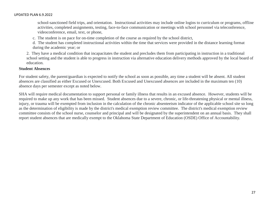school-sanctioned field trips, and orientation. Instructional activities may include online logins to curriculum or programs, offline activities, completed assignments, testing, face-to-face communication or meetings with school personnel via teleconference, videoconference, email, text, or phone,

c. The student is on pace for on-time completion of the course as required by the school district,

d. The student has completed instructional activities within the time that services were provided in the distance learning format during the academic year; or

2. They have a medical condition that incapacitates the student and precludes them from participating in instruction in a traditional school setting and the student is able to progress in instruction via alternative education delivery methods approved by the local board of education.

#### **Student Absences**

For student safety, the parent/guardian is expected to notify the school as soon as possible, any time a student will be absent. All student absences are classified as either Excused or Unexcused. Both Excused and Unexcused absences are included in the maximum ten (10) absence days per semester except as noted below.

SHA will require medical documentation to support personal or family illness that results in an excused absence. However, students will be required to make up any work that has been missed. Student absences due to a severe, chronic, or life-threatening physical or mental illness, injury, or trauma will be exempted from inclusion in the calculation of the chronic absenteeism indicator of the applicable school site so long as the determination of eligibility is made by the district's medical exemption review committee. The district's medical exemption review committee consists of the school nurse, counselor and principal and will be designated by the superintendent on an annual basis. They shall report student absences that are medically exempt to the Oklahoma State Department of Education (OSDE) Office of Accountability.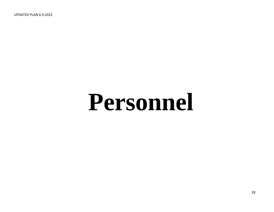UPDATED PLAN 6.9.2022

# **Personnel**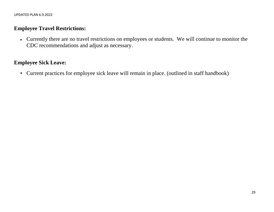## **Employee Travel Restrictions:**

 Currently there are no travel restrictions on employees or students. We will continue to monitor the CDC recommendations and adjust as necessary.

## **Employee Sick Leave:**

• Current practices for employee sick leave will remain in place. (outlined in staff handbook)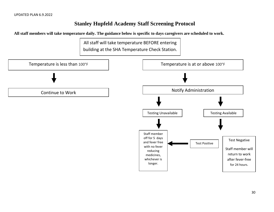## **Stanley Hupfeld Academy Staff Screening Protocol**

**All staff members will take temperature daily. The guidance below is specific to days caregivers are scheduled to work.** 

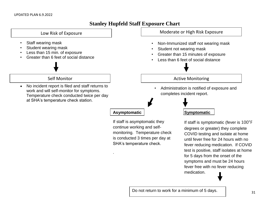### **Stanley Hupfeld Staff Exposure Chart**



medication.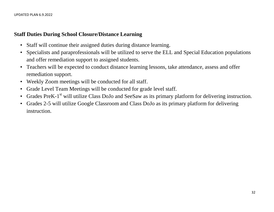## **Staff Duties During School Closure/Distance Learning**

- Staff will continue their assigned duties during distance learning.
- Specialists and paraprofessionals will be utilized to serve the ELL and Special Education populations and offer remediation support to assigned students.
- Teachers will be expected to conduct distance learning lessons, take attendance, assess and offer remediation support.
- Weekly Zoom meetings will be conducted for all staff.
- Grade Level Team Meetings will be conducted for grade level staff.
- Grades PreK-1<sup>st</sup> will utilize Class DoJo and SeeSaw as its primary platform for delivering instruction.
- Grades 2-5 will utilize Google Classroom and Class DoJo as its primary platform for delivering instruction.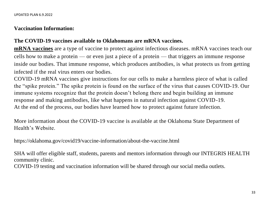## **Vaccination Information:**

## **The COVID-19 vaccines available to Oklahomans are mRNA vaccines.**

**[mRNA vaccines](https://www.cdc.gov/coronavirus/2019-ncov/vaccines/different-vaccines.html)** are a type of vaccine to protect against infectious diseases. mRNA vaccines teach our cells how to make a protein — or even just a piece of a protein — that triggers an immune response inside our bodies. That immune response, which produces antibodies, is what protects us from getting infected if the real virus enters our bodies.

COVID-19 mRNA vaccines give instructions for our cells to make a harmless piece of what is called the "spike protein." The spike protein is found on the surface of the virus that causes COVID-19. Our immune systems recognize that the protein doesn't belong there and begin building an immune response and making antibodies, like what happens in natural infection against COVID-19. At the end of the process, our bodies have learned how to protect against future infection.

More information about the COVID-19 vaccine is available at the Oklahoma State Department of Health's Website.

https://oklahoma.gov/covid19/vaccine-information/about-the-vaccine.html

SHA will offer eligible staff, students, parents and mentors information through our INTEGRIS HEALTH community clinic.

COVID-19 testing and vaccination information will be shared through our social media outlets.